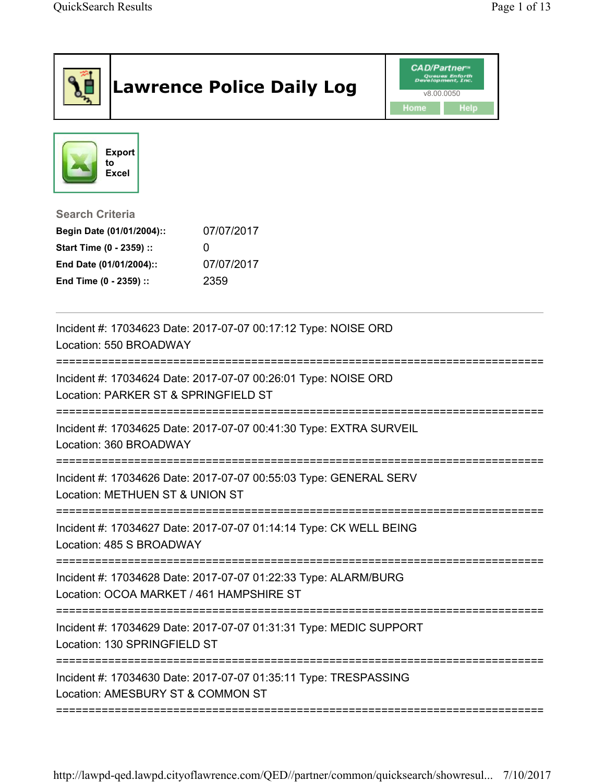| <b>CAD/Partner</b> "<br>Queues Enforth<br>Development, Inc.<br><b>Lawrence Police Daily Log</b><br>v8.00.0050<br>Home                                                         | Help |
|-------------------------------------------------------------------------------------------------------------------------------------------------------------------------------|------|
| <b>Export</b><br>to<br>Excel                                                                                                                                                  |      |
| <b>Search Criteria</b><br>07/07/2017<br>Begin Date (01/01/2004)::<br>Start Time (0 - 2359) ::<br>0<br>07/07/2017<br>End Date (01/01/2004)::<br>End Time (0 - 2359) ::<br>2359 |      |
| Incident #: 17034623 Date: 2017-07-07 00:17:12 Type: NOISE ORD<br>Location: 550 BROADWAY                                                                                      |      |
| Incident #: 17034624 Date: 2017-07-07 00:26:01 Type: NOISE ORD<br>Location: PARKER ST & SPRINGFIELD ST                                                                        |      |
| Incident #: 17034625 Date: 2017-07-07 00:41:30 Type: EXTRA SURVEIL<br>Location: 360 BROADWAY                                                                                  |      |
| Incident #: 17034626 Date: 2017-07-07 00:55:03 Type: GENERAL SERV<br>Location: METHUEN ST & UNION ST                                                                          |      |
| Incident #: 17034627 Date: 2017-07-07 01:14:14 Type: CK WELL BEING<br>Location: 485 S BROADWAY                                                                                |      |
| Incident #: 17034628 Date: 2017-07-07 01:22:33 Type: ALARM/BURG<br>Location: OCOA MARKET / 461 HAMPSHIRE ST                                                                   |      |
| Incident #: 17034629 Date: 2017-07-07 01:31:31 Type: MEDIC SUPPORT<br>Location: 130 SPRINGFIELD ST                                                                            |      |
| Incident #: 17034630 Date: 2017-07-07 01:35:11 Type: TRESPASSING<br>Location: AMESBURY ST & COMMON ST                                                                         |      |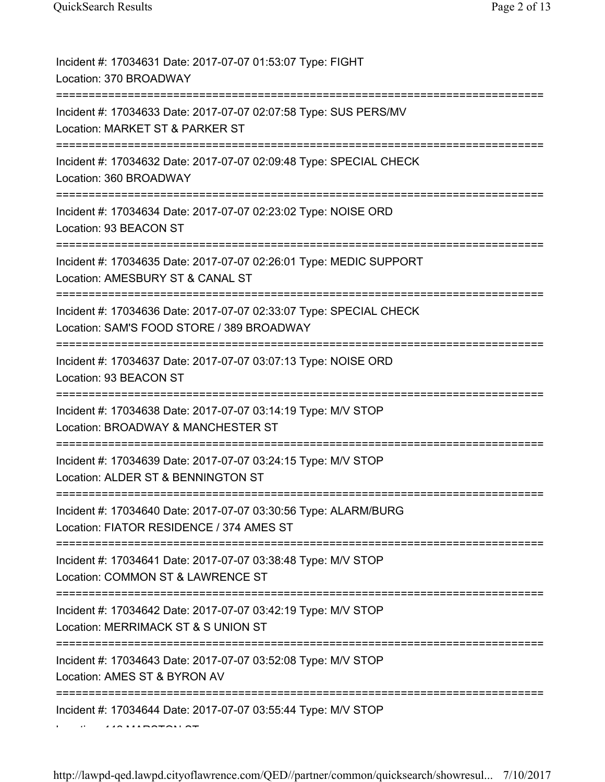| Incident #: 17034631 Date: 2017-07-07 01:53:07 Type: FIGHT<br>Location: 370 BROADWAY                                                                  |
|-------------------------------------------------------------------------------------------------------------------------------------------------------|
| Incident #: 17034633 Date: 2017-07-07 02:07:58 Type: SUS PERS/MV<br>Location: MARKET ST & PARKER ST                                                   |
| Incident #: 17034632 Date: 2017-07-07 02:09:48 Type: SPECIAL CHECK<br>Location: 360 BROADWAY                                                          |
| Incident #: 17034634 Date: 2017-07-07 02:23:02 Type: NOISE ORD<br>Location: 93 BEACON ST<br>:=============================                            |
| Incident #: 17034635 Date: 2017-07-07 02:26:01 Type: MEDIC SUPPORT<br>Location: AMESBURY ST & CANAL ST                                                |
| Incident #: 17034636 Date: 2017-07-07 02:33:07 Type: SPECIAL CHECK<br>Location: SAM'S FOOD STORE / 389 BROADWAY                                       |
| Incident #: 17034637 Date: 2017-07-07 03:07:13 Type: NOISE ORD<br>Location: 93 BEACON ST                                                              |
| Incident #: 17034638 Date: 2017-07-07 03:14:19 Type: M/V STOP<br>Location: BROADWAY & MANCHESTER ST                                                   |
| Incident #: 17034639 Date: 2017-07-07 03:24:15 Type: M/V STOP<br>Location: ALDER ST & BENNINGTON ST                                                   |
| Incident #: 17034640 Date: 2017-07-07 03:30:56 Type: ALARM/BURG<br>Location: FIATOR RESIDENCE / 374 AMES ST<br>====================================== |
| Incident #: 17034641 Date: 2017-07-07 03:38:48 Type: M/V STOP<br>Location: COMMON ST & LAWRENCE ST<br>:======================                         |
| Incident #: 17034642 Date: 2017-07-07 03:42:19 Type: M/V STOP<br>Location: MERRIMACK ST & S UNION ST                                                  |
| Incident #: 17034643 Date: 2017-07-07 03:52:08 Type: M/V STOP<br>Location: AMES ST & BYRON AV                                                         |
| Incident #: 17034644 Date: 2017-07-07 03:55:44 Type: M/V STOP                                                                                         |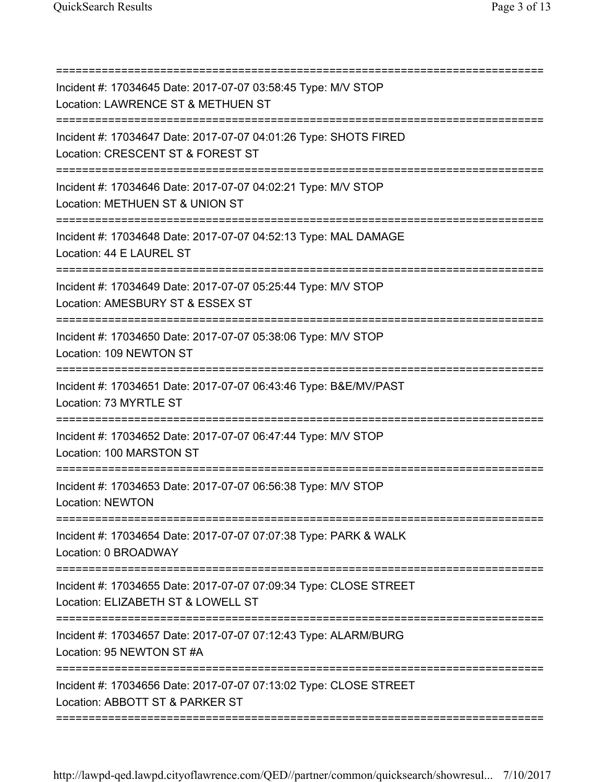| Incident #: 17034645 Date: 2017-07-07 03:58:45 Type: M/V STOP<br>Location: LAWRENCE ST & METHUEN ST                         |
|-----------------------------------------------------------------------------------------------------------------------------|
| Incident #: 17034647 Date: 2017-07-07 04:01:26 Type: SHOTS FIRED<br>Location: CRESCENT ST & FOREST ST                       |
| Incident #: 17034646 Date: 2017-07-07 04:02:21 Type: M/V STOP<br>Location: METHUEN ST & UNION ST                            |
| Incident #: 17034648 Date: 2017-07-07 04:52:13 Type: MAL DAMAGE<br>Location: 44 E LAUREL ST                                 |
| Incident #: 17034649 Date: 2017-07-07 05:25:44 Type: M/V STOP<br>Location: AMESBURY ST & ESSEX ST                           |
| Incident #: 17034650 Date: 2017-07-07 05:38:06 Type: M/V STOP<br>Location: 109 NEWTON ST<br>_______________________________ |
| Incident #: 17034651 Date: 2017-07-07 06:43:46 Type: B&E/MV/PAST<br>Location: 73 MYRTLE ST                                  |
| Incident #: 17034652 Date: 2017-07-07 06:47:44 Type: M/V STOP<br>Location: 100 MARSTON ST                                   |
| Incident #: 17034653 Date: 2017-07-07 06:56:38 Type: M/V STOP<br>Location: NEWTON                                           |
| Incident #: 17034654 Date: 2017-07-07 07:07:38 Type: PARK & WALK<br>Location: 0 BROADWAY                                    |
| Incident #: 17034655 Date: 2017-07-07 07:09:34 Type: CLOSE STREET<br>Location: ELIZABETH ST & LOWELL ST                     |
| Incident #: 17034657 Date: 2017-07-07 07:12:43 Type: ALARM/BURG<br>Location: 95 NEWTON ST #A                                |
| Incident #: 17034656 Date: 2017-07-07 07:13:02 Type: CLOSE STREET<br>Location: ABBOTT ST & PARKER ST                        |
|                                                                                                                             |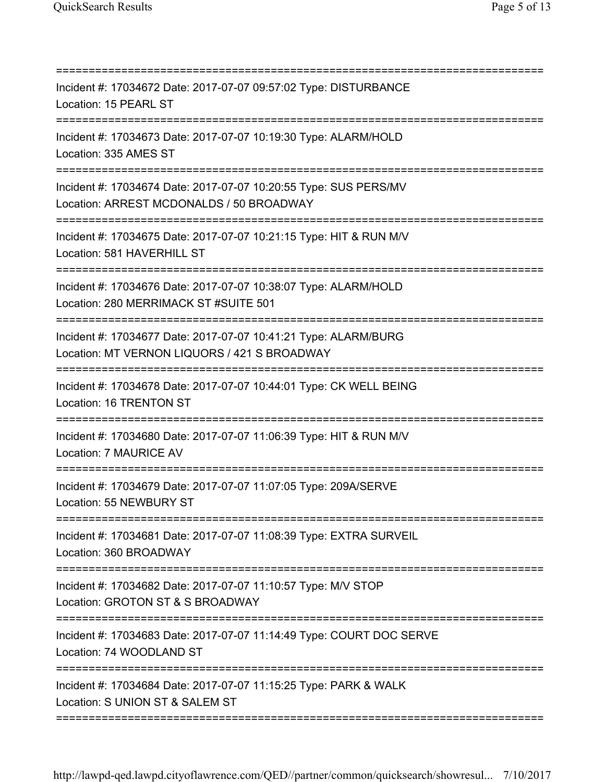| Incident #: 17034672 Date: 2017-07-07 09:57:02 Type: DISTURBANCE<br>Location: 15 PEARL ST                       |
|-----------------------------------------------------------------------------------------------------------------|
| Incident #: 17034673 Date: 2017-07-07 10:19:30 Type: ALARM/HOLD<br>Location: 335 AMES ST                        |
| Incident #: 17034674 Date: 2017-07-07 10:20:55 Type: SUS PERS/MV<br>Location: ARREST MCDONALDS / 50 BROADWAY    |
| Incident #: 17034675 Date: 2017-07-07 10:21:15 Type: HIT & RUN M/V<br>Location: 581 HAVERHILL ST                |
| Incident #: 17034676 Date: 2017-07-07 10:38:07 Type: ALARM/HOLD<br>Location: 280 MERRIMACK ST #SUITE 501        |
| Incident #: 17034677 Date: 2017-07-07 10:41:21 Type: ALARM/BURG<br>Location: MT VERNON LIQUORS / 421 S BROADWAY |
| Incident #: 17034678 Date: 2017-07-07 10:44:01 Type: CK WELL BEING<br>Location: 16 TRENTON ST                   |
| Incident #: 17034680 Date: 2017-07-07 11:06:39 Type: HIT & RUN M/V<br>Location: 7 MAURICE AV                    |
| Incident #: 17034679 Date: 2017-07-07 11:07:05 Type: 209A/SERVE<br>Location: 55 NEWBURY ST                      |
| Incident #: 17034681 Date: 2017-07-07 11:08:39 Type: EXTRA SURVEIL<br>Location: 360 BROADWAY                    |
| Incident #: 17034682 Date: 2017-07-07 11:10:57 Type: M/V STOP<br>Location: GROTON ST & S BROADWAY               |
| Incident #: 17034683 Date: 2017-07-07 11:14:49 Type: COURT DOC SERVE<br>Location: 74 WOODLAND ST                |
| Incident #: 17034684 Date: 2017-07-07 11:15:25 Type: PARK & WALK<br>Location: S UNION ST & SALEM ST             |
|                                                                                                                 |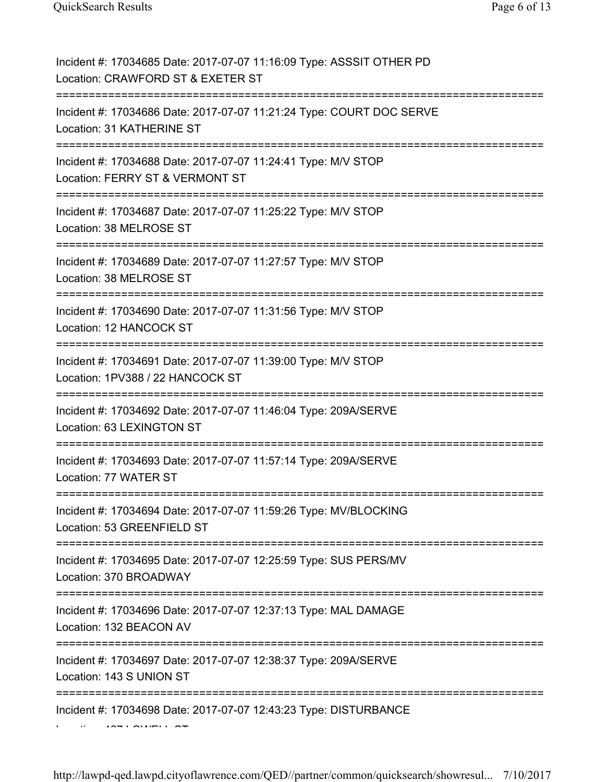| Incident #: 17034685 Date: 2017-07-07 11:16:09 Type: ASSSIT OTHER PD<br>Location: CRAWFORD ST & EXETER ST                 |
|---------------------------------------------------------------------------------------------------------------------------|
| Incident #: 17034686 Date: 2017-07-07 11:21:24 Type: COURT DOC SERVE<br>Location: 31 KATHERINE ST                         |
| Incident #: 17034688 Date: 2017-07-07 11:24:41 Type: M/V STOP<br>Location: FERRY ST & VERMONT ST                          |
| Incident #: 17034687 Date: 2017-07-07 11:25:22 Type: M/V STOP<br>Location: 38 MELROSE ST                                  |
| Incident #: 17034689 Date: 2017-07-07 11:27:57 Type: M/V STOP<br>Location: 38 MELROSE ST                                  |
| Incident #: 17034690 Date: 2017-07-07 11:31:56 Type: M/V STOP<br>Location: 12 HANCOCK ST                                  |
| Incident #: 17034691 Date: 2017-07-07 11:39:00 Type: M/V STOP<br>Location: 1PV388 / 22 HANCOCK ST<br>==================== |
| Incident #: 17034692 Date: 2017-07-07 11:46:04 Type: 209A/SERVE<br>Location: 63 LEXINGTON ST                              |
| Incident #: 17034693 Date: 2017-07-07 11:57:14 Type: 209A/SERVE<br>Location: 77 WATER ST                                  |
| Incident #: 17034694 Date: 2017-07-07 11:59:26 Type: MV/BLOCKING<br>Location: 53 GREENFIELD ST                            |
| Incident #: 17034695 Date: 2017-07-07 12:25:59 Type: SUS PERS/MV<br>Location: 370 BROADWAY                                |
| Incident #: 17034696 Date: 2017-07-07 12:37:13 Type: MAL DAMAGE<br>Location: 132 BEACON AV                                |
| Incident #: 17034697 Date: 2017-07-07 12:38:37 Type: 209A/SERVE<br>Location: 143 S UNION ST                               |
| Incident #: 17034698 Date: 2017-07-07 12:43:23 Type: DISTURBANCE                                                          |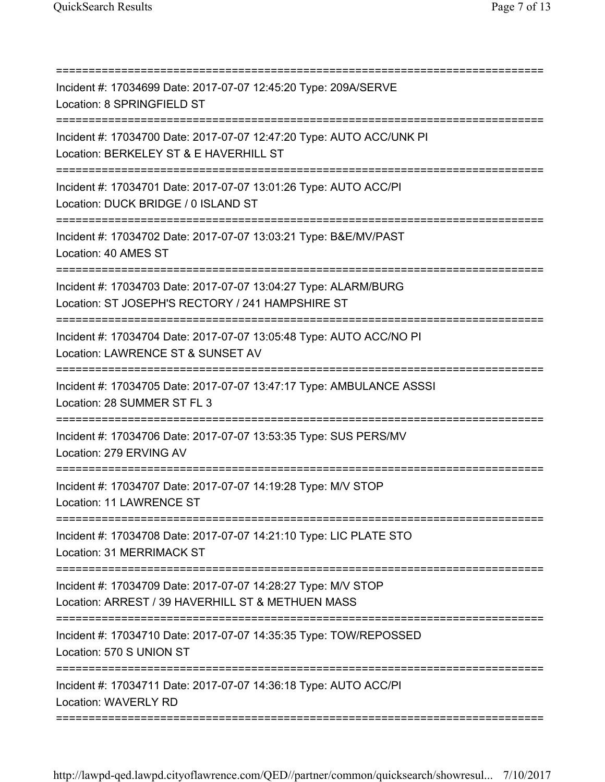| Incident #: 17034699 Date: 2017-07-07 12:45:20 Type: 209A/SERVE<br>Location: 8 SPRINGFIELD ST                                       |
|-------------------------------------------------------------------------------------------------------------------------------------|
| Incident #: 17034700 Date: 2017-07-07 12:47:20 Type: AUTO ACC/UNK PI<br>Location: BERKELEY ST & E HAVERHILL ST                      |
| Incident #: 17034701 Date: 2017-07-07 13:01:26 Type: AUTO ACC/PI<br>Location: DUCK BRIDGE / 0 ISLAND ST<br>======================== |
| Incident #: 17034702 Date: 2017-07-07 13:03:21 Type: B&E/MV/PAST<br>Location: 40 AMES ST                                            |
| Incident #: 17034703 Date: 2017-07-07 13:04:27 Type: ALARM/BURG<br>Location: ST JOSEPH'S RECTORY / 241 HAMPSHIRE ST                 |
| Incident #: 17034704 Date: 2017-07-07 13:05:48 Type: AUTO ACC/NO PI<br>Location: LAWRENCE ST & SUNSET AV                            |
| :===========<br>Incident #: 17034705 Date: 2017-07-07 13:47:17 Type: AMBULANCE ASSSI<br>Location: 28 SUMMER ST FL 3                 |
| Incident #: 17034706 Date: 2017-07-07 13:53:35 Type: SUS PERS/MV<br>Location: 279 ERVING AV                                         |
| Incident #: 17034707 Date: 2017-07-07 14:19:28 Type: M/V STOP<br>Location: 11 LAWRENCE ST                                           |
| Incident #: 17034708 Date: 2017-07-07 14:21:10 Type: LIC PLATE STO<br>Location: 31 MERRIMACK ST                                     |
| Incident #: 17034709 Date: 2017-07-07 14:28:27 Type: M/V STOP<br>Location: ARREST / 39 HAVERHILL ST & METHUEN MASS                  |
| Incident #: 17034710 Date: 2017-07-07 14:35:35 Type: TOW/REPOSSED<br>Location: 570 S UNION ST                                       |
| Incident #: 17034711 Date: 2017-07-07 14:36:18 Type: AUTO ACC/PI<br><b>Location: WAVERLY RD</b>                                     |
|                                                                                                                                     |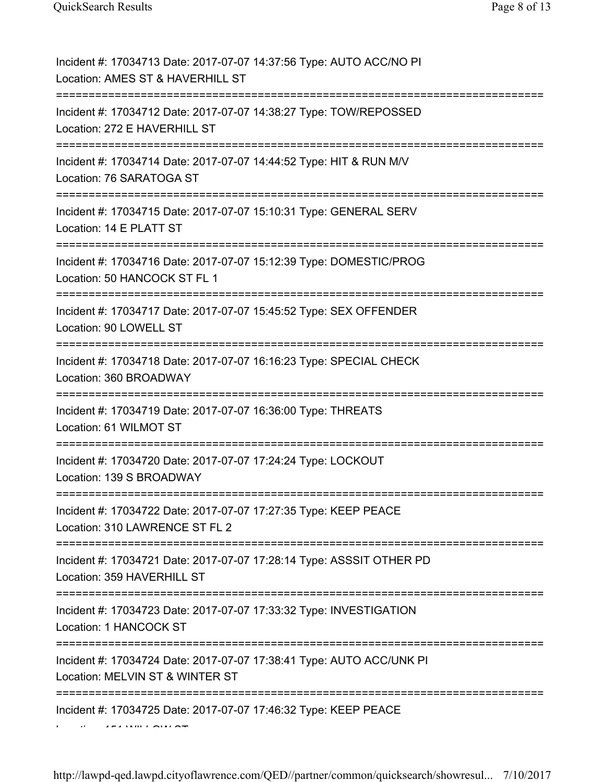| Incident #: 17034713 Date: 2017-07-07 14:37:56 Type: AUTO ACC/NO PI<br>Location: AMES ST & HAVERHILL ST                                 |
|-----------------------------------------------------------------------------------------------------------------------------------------|
| Incident #: 17034712 Date: 2017-07-07 14:38:27 Type: TOW/REPOSSED<br>Location: 272 E HAVERHILL ST                                       |
| Incident #: 17034714 Date: 2017-07-07 14:44:52 Type: HIT & RUN M/V<br>Location: 76 SARATOGA ST<br>------------------------------------- |
| Incident #: 17034715 Date: 2017-07-07 15:10:31 Type: GENERAL SERV<br>Location: 14 E PLATT ST                                            |
| Incident #: 17034716 Date: 2017-07-07 15:12:39 Type: DOMESTIC/PROG<br>Location: 50 HANCOCK ST FL 1                                      |
| Incident #: 17034717 Date: 2017-07-07 15:45:52 Type: SEX OFFENDER<br>Location: 90 LOWELL ST                                             |
| Incident #: 17034718 Date: 2017-07-07 16:16:23 Type: SPECIAL CHECK<br>Location: 360 BROADWAY                                            |
| Incident #: 17034719 Date: 2017-07-07 16:36:00 Type: THREATS<br>Location: 61 WILMOT ST                                                  |
| Incident #: 17034720 Date: 2017-07-07 17:24:24 Type: LOCKOUT<br>Location: 139 S BROADWAY                                                |
| Incident #: 17034722 Date: 2017-07-07 17:27:35 Type: KEEP PEACE<br>Location: 310 LAWRENCE ST FL 2                                       |
| Incident #: 17034721 Date: 2017-07-07 17:28:14 Type: ASSSIT OTHER PD<br>Location: 359 HAVERHILL ST                                      |
| ---------------------------------<br>Incident #: 17034723 Date: 2017-07-07 17:33:32 Type: INVESTIGATION<br>Location: 1 HANCOCK ST       |
| Incident #: 17034724 Date: 2017-07-07 17:38:41 Type: AUTO ACC/UNK PI<br>Location: MELVIN ST & WINTER ST                                 |
| Incident #: 17034725 Date: 2017-07-07 17:46:32 Type: KEEP PEACE                                                                         |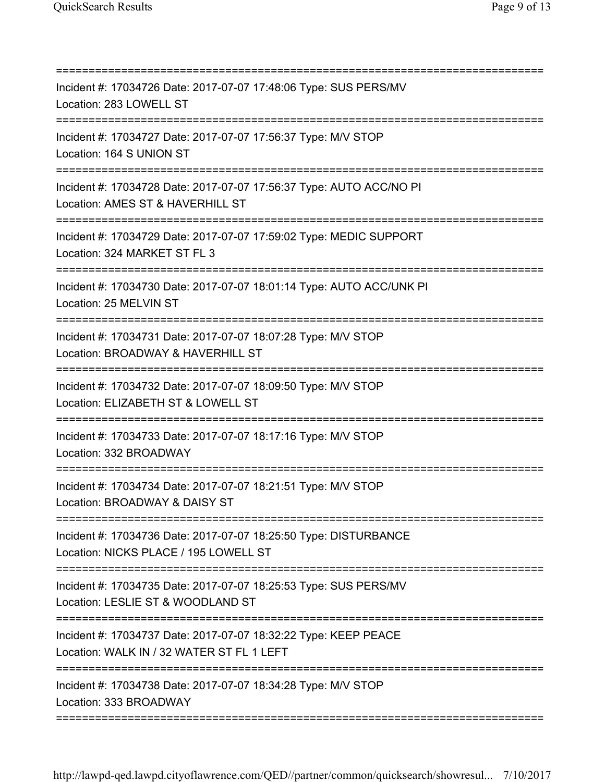| Incident #: 17034726 Date: 2017-07-07 17:48:06 Type: SUS PERS/MV<br>Location: 283 LOWELL ST<br>======================                        |
|----------------------------------------------------------------------------------------------------------------------------------------------|
| Incident #: 17034727 Date: 2017-07-07 17:56:37 Type: M/V STOP<br>Location: 164 S UNION ST                                                    |
| =================================<br>Incident #: 17034728 Date: 2017-07-07 17:56:37 Type: AUTO ACC/NO PI<br>Location: AMES ST & HAVERHILL ST |
| Incident #: 17034729 Date: 2017-07-07 17:59:02 Type: MEDIC SUPPORT<br>Location: 324 MARKET ST FL 3                                           |
| Incident #: 17034730 Date: 2017-07-07 18:01:14 Type: AUTO ACC/UNK PI<br>Location: 25 MELVIN ST<br>____________________________________       |
| Incident #: 17034731 Date: 2017-07-07 18:07:28 Type: M/V STOP<br>Location: BROADWAY & HAVERHILL ST                                           |
| Incident #: 17034732 Date: 2017-07-07 18:09:50 Type: M/V STOP<br>Location: ELIZABETH ST & LOWELL ST                                          |
| Incident #: 17034733 Date: 2017-07-07 18:17:16 Type: M/V STOP<br>Location: 332 BROADWAY                                                      |
| Incident #: 17034734 Date: 2017-07-07 18:21:51 Type: M/V STOP<br>Location: BROADWAY & DAISY ST                                               |
| =====================<br>Incident #: 17034736 Date: 2017-07-07 18:25:50 Type: DISTURBANCE<br>Location: NICKS PLACE / 195 LOWELL ST           |
| Incident #: 17034735 Date: 2017-07-07 18:25:53 Type: SUS PERS/MV<br>Location: LESLIE ST & WOODLAND ST                                        |
| Incident #: 17034737 Date: 2017-07-07 18:32:22 Type: KEEP PEACE<br>Location: WALK IN / 32 WATER ST FL 1 LEFT                                 |
| Incident #: 17034738 Date: 2017-07-07 18:34:28 Type: M/V STOP<br>Location: 333 BROADWAY                                                      |
|                                                                                                                                              |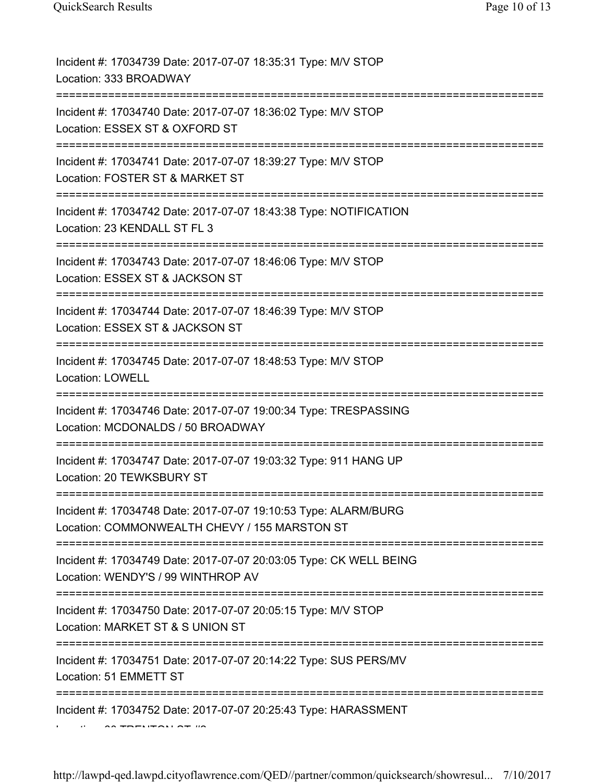| Incident #: 17034739 Date: 2017-07-07 18:35:31 Type: M/V STOP<br>Location: 333 BROADWAY                                              |
|--------------------------------------------------------------------------------------------------------------------------------------|
| Incident #: 17034740 Date: 2017-07-07 18:36:02 Type: M/V STOP<br>Location: ESSEX ST & OXFORD ST                                      |
| Incident #: 17034741 Date: 2017-07-07 18:39:27 Type: M/V STOP<br>Location: FOSTER ST & MARKET ST                                     |
| Incident #: 17034742 Date: 2017-07-07 18:43:38 Type: NOTIFICATION<br>Location: 23 KENDALL ST FL 3<br>=============================== |
| Incident #: 17034743 Date: 2017-07-07 18:46:06 Type: M/V STOP<br>Location: ESSEX ST & JACKSON ST                                     |
| Incident #: 17034744 Date: 2017-07-07 18:46:39 Type: M/V STOP<br>Location: ESSEX ST & JACKSON ST<br>:===========                     |
| Incident #: 17034745 Date: 2017-07-07 18:48:53 Type: M/V STOP<br><b>Location: LOWELL</b>                                             |
| Incident #: 17034746 Date: 2017-07-07 19:00:34 Type: TRESPASSING<br>Location: MCDONALDS / 50 BROADWAY                                |
| Incident #: 17034747 Date: 2017-07-07 19:03:32 Type: 911 HANG UP<br>Location: 20 TEWKSBURY ST                                        |
| Incident #: 17034748 Date: 2017-07-07 19:10:53 Type: ALARM/BURG<br>Location: COMMONWEALTH CHEVY / 155 MARSTON ST                     |
| Incident #: 17034749 Date: 2017-07-07 20:03:05 Type: CK WELL BEING<br>Location: WENDY'S / 99 WINTHROP AV                             |
| Incident #: 17034750 Date: 2017-07-07 20:05:15 Type: M/V STOP<br>Location: MARKET ST & S UNION ST                                    |
| Incident #: 17034751 Date: 2017-07-07 20:14:22 Type: SUS PERS/MV<br>Location: 51 EMMETT ST                                           |
| Incident #: 17034752 Date: 2017-07-07 20:25:43 Type: HARASSMENT                                                                      |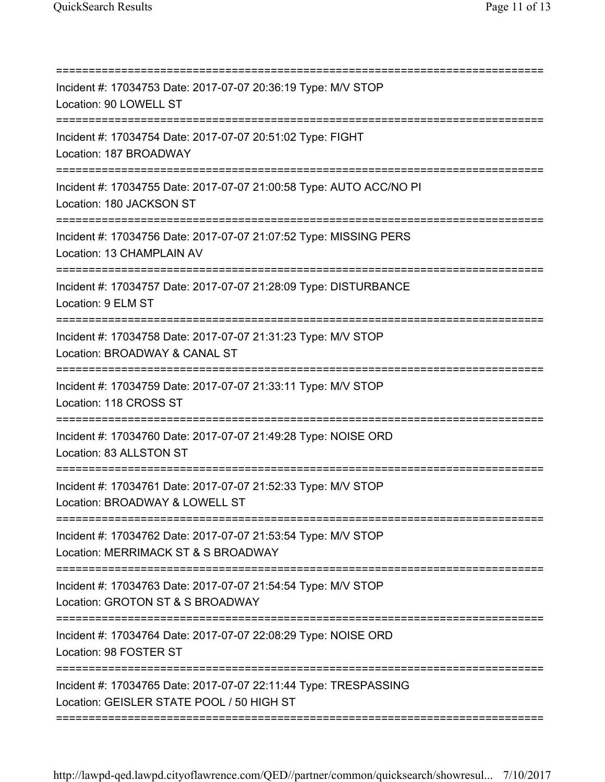| Incident #: 17034753 Date: 2017-07-07 20:36:19 Type: M/V STOP<br>Location: 90 LOWELL ST<br>:=====================                       |
|-----------------------------------------------------------------------------------------------------------------------------------------|
| Incident #: 17034754 Date: 2017-07-07 20:51:02 Type: FIGHT<br>Location: 187 BROADWAY                                                    |
| Incident #: 17034755 Date: 2017-07-07 21:00:58 Type: AUTO ACC/NO PI<br>Location: 180 JACKSON ST                                         |
| Incident #: 17034756 Date: 2017-07-07 21:07:52 Type: MISSING PERS<br>Location: 13 CHAMPLAIN AV                                          |
| Incident #: 17034757 Date: 2017-07-07 21:28:09 Type: DISTURBANCE<br>Location: 9 ELM ST                                                  |
| :====================================<br>Incident #: 17034758 Date: 2017-07-07 21:31:23 Type: M/V STOP<br>Location: BROADWAY & CANAL ST |
| Incident #: 17034759 Date: 2017-07-07 21:33:11 Type: M/V STOP<br>Location: 118 CROSS ST                                                 |
| Incident #: 17034760 Date: 2017-07-07 21:49:28 Type: NOISE ORD<br>Location: 83 ALLSTON ST                                               |
| Incident #: 17034761 Date: 2017-07-07 21:52:33 Type: M/V STOP<br>Location: BROADWAY & LOWELL ST                                         |
| Incident #: 17034762 Date: 2017-07-07 21:53:54 Type: M/V STOP<br>Location: MERRIMACK ST & S BROADWAY                                    |
| Incident #: 17034763 Date: 2017-07-07 21:54:54 Type: M/V STOP<br>Location: GROTON ST & S BROADWAY                                       |
| Incident #: 17034764 Date: 2017-07-07 22:08:29 Type: NOISE ORD<br>Location: 98 FOSTER ST                                                |
| Incident #: 17034765 Date: 2017-07-07 22:11:44 Type: TRESPASSING<br>Location: GEISLER STATE POOL / 50 HIGH ST                           |
|                                                                                                                                         |

http://lawpd-qed.lawpd.cityoflawrence.com/QED//partner/common/quicksearch/showresul... 7/10/2017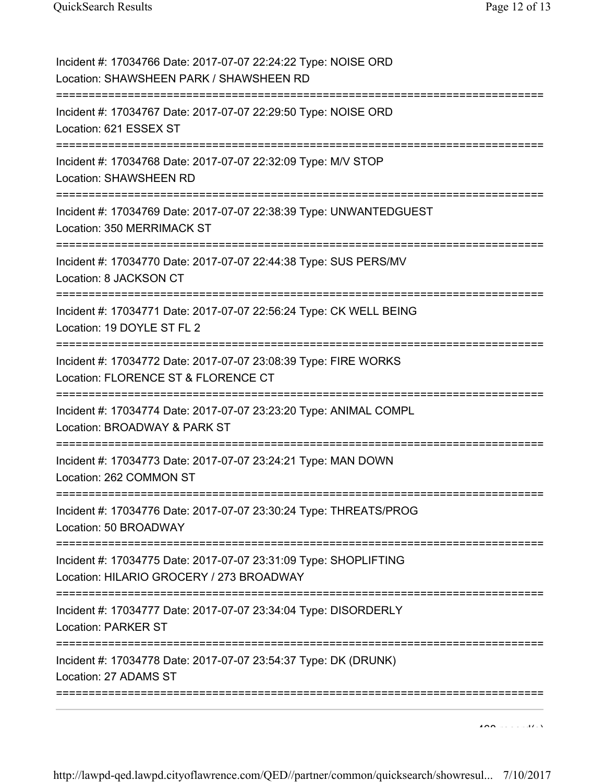| Incident #: 17034766 Date: 2017-07-07 22:24:22 Type: NOISE ORD<br>Location: SHAWSHEEN PARK / SHAWSHEEN RD                                 |
|-------------------------------------------------------------------------------------------------------------------------------------------|
| Incident #: 17034767 Date: 2017-07-07 22:29:50 Type: NOISE ORD<br>Location: 621 ESSEX ST<br>=====================================         |
| Incident #: 17034768 Date: 2017-07-07 22:32:09 Type: M/V STOP<br>Location: SHAWSHEEN RD                                                   |
| Incident #: 17034769 Date: 2017-07-07 22:38:39 Type: UNWANTEDGUEST<br>Location: 350 MERRIMACK ST                                          |
| Incident #: 17034770 Date: 2017-07-07 22:44:38 Type: SUS PERS/MV<br>Location: 8 JACKSON CT                                                |
| Incident #: 17034771 Date: 2017-07-07 22:56:24 Type: CK WELL BEING<br>Location: 19 DOYLE ST FL 2                                          |
| Incident #: 17034772 Date: 2017-07-07 23:08:39 Type: FIRE WORKS<br>Location: FLORENCE ST & FLORENCE CT<br>=========================       |
| Incident #: 17034774 Date: 2017-07-07 23:23:20 Type: ANIMAL COMPL<br>Location: BROADWAY & PARK ST<br>:=================================== |
| Incident #: 17034773 Date: 2017-07-07 23:24:21 Type: MAN DOWN<br>Location: 262 COMMON ST                                                  |
| Incident #: 17034776 Date: 2017-07-07 23:30:24 Type: THREATS/PROG<br>Location: 50 BROADWAY                                                |
| Incident #: 17034775 Date: 2017-07-07 23:31:09 Type: SHOPLIFTING<br>Location: HILARIO GROCERY / 273 BROADWAY                              |
| Incident #: 17034777 Date: 2017-07-07 23:34:04 Type: DISORDERLY<br><b>Location: PARKER ST</b>                                             |
| Incident #: 17034778 Date: 2017-07-07 23:54:37 Type: DK (DRUNK)<br>Location: 27 ADAMS ST                                                  |
|                                                                                                                                           |

 $400 \times 1000$